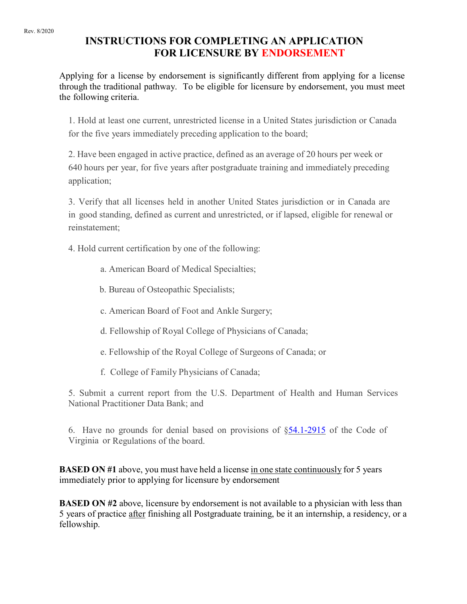#### Rev. 8/2020

# **INSTRUCTIONS FOR COMPLETING AN APPLICATION FOR LICENSURE BY ENDORSEMENT**

Applying for a license by endorsement is significantly different from applying for a license through the traditional pathway. To be eligible for licensure by endorsement, you must meet the following criteria.

1. Hold at least one current, unrestricted license in a United States jurisdiction or Canada for the five years immediately preceding application to the board;

2. Have been engaged in active practice, defined as an average of 20 hours per week or 640 hours per year, for five years after postgraduate training and immediately preceding application;

3. Verify that all licenses held in another United States jurisdiction or in Canada are in good standing, defined as current and unrestricted, or if lapsed, eligible for renewal or reinstatement;

4. Hold current certification by one of the following:

- a. American Board of Medical Specialties;
- b. Bureau of Osteopathic Specialists;
- c. American Board of Foot and Ankle Surgery;
- d. Fellowship of Royal College of Physicians of Canada;
- e. Fellowship of the Royal College of Surgeons of Canada; or
- f. College of Family Physicians of Canada;

5. Submit a current report from the U.S. Department of Health and Human Services National Practitioner Data Bank; and

6. Have no grounds for denial based on provisions of [§54.1-2915](https://law.lis.virginia.gov/vacode/54.1-2915/) of the Code of Virginia or Regulations of the board.

**BASED ON #1** above, you must have held a license in one state continuously for 5 years immediately prior to applying for licensure by endorsement

**BASED ON #2** above, licensure by endorsement is not available to a physician with less than 5 years of practice after finishing all Postgraduate training, be it an internship, a residency, or a fellowship.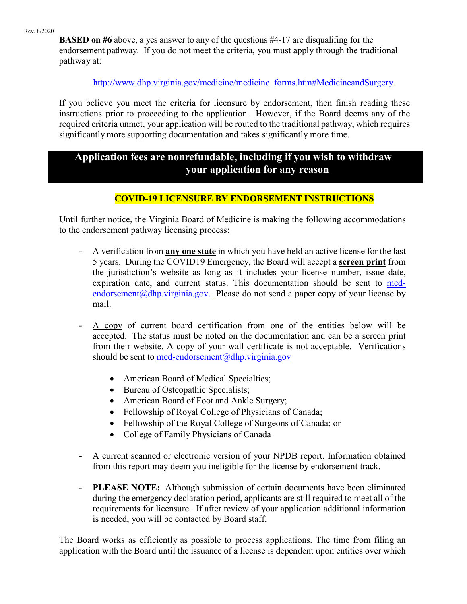**BASED on #6** above, a yes answer to any of the questions #4-17 are disqualifing for the endorsement pathway. If you do not meet the criteria, you must apply through the traditional pathway at:

### [http://www.dhp.virginia.gov/medicine/medicine\\_forms.htm#MedicineandSurgery](http://www.dhp.virginia.gov/medicine/medicine_forms.htm#MedicineandSurgery)

If you believe you meet the criteria for licensure by endorsement, then finish reading these instructions prior to proceeding to the application. However, if the Board deems any of the required criteria unmet, your application will be routed to the traditional pathway, which requires significantly more supporting documentation and takes significantly more time.

## **Application fees are nonrefundable, including if you wish to withdraw your application for any reason**

### **COVID-19 LICENSURE BY ENDORSEMENT INSTRUCTIONS**

Until further notice, the Virginia Board of Medicine is making the following accommodations to the endorsement pathway licensing process:

- A verification from **any one state** in which you have held an active license for the last 5 years. During the COVID19 Emergency, the Board will accept a **screen print** from the jurisdiction's website as long as it includes your license number, issue date, expiration date, and current status. This documentation should be sent to [med](mailto:med-endorsement@dhp.virginia.gov)endorsement  $(a)$ dhp.virginia.gov. Please do not send a paper copy of your license by mail.
- A copy of current board certification from one of the entities below will be accepted. The status must be noted on the documentation and can be a screen print from their website. A copy of your wall certificate is not acceptable. Verifications should be sent to med-endorsement  $(a)$ dhp.virginia.gov
	- American Board of Medical Specialties;
	- Bureau of Osteopathic Specialists;
	- American Board of Foot and Ankle Surgery;
	- Fellowship of Royal College of Physicians of Canada;
	- Fellowship of the Royal College of Surgeons of Canada; or
	- College of Family Physicians of Canada
- A current scanned or electronic version of your NPDB report. Information obtained from this report may deem you ineligible for the license by endorsement track.
- **PLEASE NOTE:** Although submission of certain documents have been eliminated during the emergency declaration period, applicants are still required to meet all of the requirements for licensure. If after review of your application additional information is needed, you will be contacted by Board staff.

The Board works as efficiently as possible to process applications. The time from filing an application with the Board until the issuance of a license is dependent upon entities over which